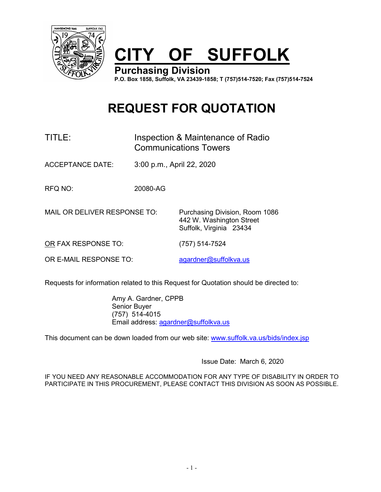

# **CITY OF SUFFOLK**

**Purchasing Division P.O. Box 1858, Suffolk, VA 23439-1858; T (757)514-7520; Fax (757)514-7524**

## **REQUEST FOR QUOTATION**

## TITLE: Inspection & Maintenance of Radio Communications Towers

ACCEPTANCE DATE: 3:00 p.m., April 22, 2020

RFQ NO: 20080-AG

MAIL OR DELIVER RESPONSE TO: Purchasing Division, Room 1086

442 W. Washington Street Suffolk, Virginia 23434

OR FAX RESPONSE TO: (757) 514-7524

OR E-MAIL RESPONSE TO: [agardner@suffolkva.us](mailto:agardner@suffolkva.us)

Requests for information related to this Request for Quotation should be directed to:

Amy A. Gardner, CPPB Senior Buyer (757) 514-4015 Email address: [agardner@suffolkva.us](mailto:agardner@suffolkva.us)

This document can be down loaded from our web site: [www.suffolk.va.us/bids/index.jsp](http://www.suffolk.va.us/bids/index.jsp)

Issue Date: March 6, 2020

IF YOU NEED ANY REASONABLE ACCOMMODATION FOR ANY TYPE OF DISABILITY IN ORDER TO PARTICIPATE IN THIS PROCUREMENT, PLEASE CONTACT THIS DIVISION AS SOON AS POSSIBLE.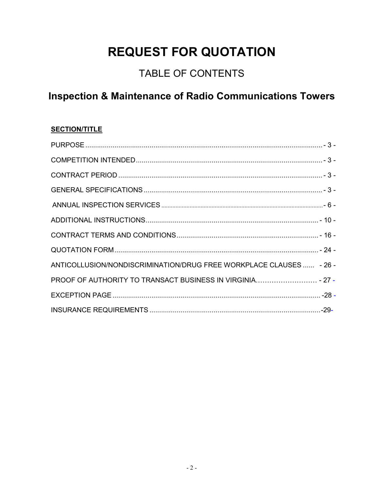## **REQUEST FOR QUOTATION**

## TABLE OF CONTENTS

## **Inspection & Maintenance of Radio Communications Towers**

### **SECTION/TITLE**

| ANTICOLLUSION/NONDISCRIMINATION/DRUG FREE WORKPLACE CLAUSES  - 26 - |  |
|---------------------------------------------------------------------|--|
|                                                                     |  |
|                                                                     |  |
|                                                                     |  |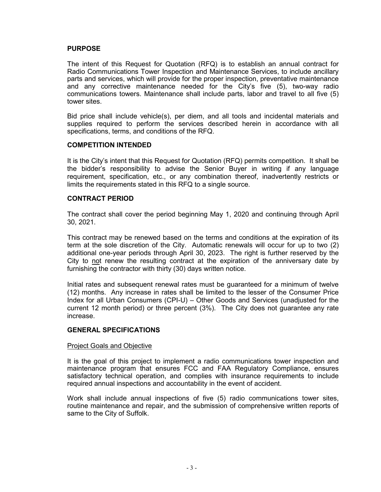#### <span id="page-2-0"></span>**PURPOSE**

The intent of this Request for Quotation (RFQ) is to establish an annual contract for Radio Communications Tower Inspection and Maintenance Services, to include ancillary parts and services, which will provide for the proper inspection, preventative maintenance and any corrective maintenance needed for the City's five (5), two-way radio communications towers. Maintenance shall include parts, labor and travel to all five (5) tower sites.

Bid price shall include vehicle(s), per diem, and all tools and incidental materials and supplies required to perform the services described herein in accordance with all specifications, terms, and conditions of the RFQ.

#### <span id="page-2-1"></span>**COMPETITION INTENDED**

It is the City's intent that this Request for Quotation (RFQ) permits competition. It shall be the bidder's responsibility to advise the Senior Buyer in writing if any language requirement, specification, etc., or any combination thereof, inadvertently restricts or limits the requirements stated in this RFQ to a single source.

#### <span id="page-2-2"></span>**CONTRACT PERIOD**

The contract shall cover the period beginning May 1, 2020 and continuing through April 30, 2021.

This contract may be renewed based on the terms and conditions at the expiration of its term at the sole discretion of the City. Automatic renewals will occur for up to two (2) additional one-year periods through April 30, 2023. The right is further reserved by the City to not renew the resulting contract at the expiration of the anniversary date by furnishing the contractor with thirty (30) days written notice.

Initial rates and subsequent renewal rates must be guaranteed for a minimum of twelve (12) months. Any increase in rates shall be limited to the lesser of the Consumer Price Index for all Urban Consumers (CPI-U) – Other Goods and Services (unadjusted for the current 12 month period) or three percent (3%). The City does not guarantee any rate increase.

#### <span id="page-2-3"></span>**GENERAL SPECIFICATIONS**

#### Project Goals and Objective

It is the goal of this project to implement a radio communications tower inspection and maintenance program that ensures FCC and FAA Regulatory Compliance, ensures satisfactory technical operation, and complies with insurance requirements to include required annual inspections and accountability in the event of accident.

Work shall include annual inspections of five (5) radio communications tower sites, routine maintenance and repair, and the submission of comprehensive written reports of same to the City of Suffolk.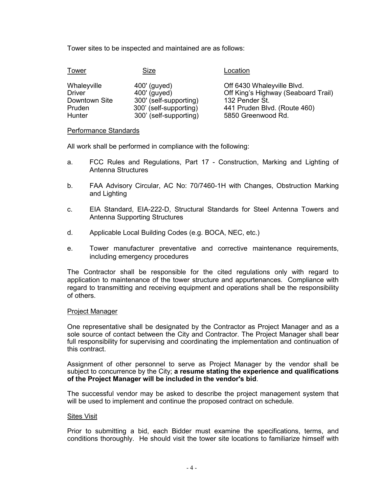Tower sites to be inspected and maintained are as follows:

| <b>Tower</b>  | Size                   | Location                            |
|---------------|------------------------|-------------------------------------|
| Whaleyville   | 400' (guyed)           | Off 6430 Whaleyville Blvd.          |
| <b>Driver</b> | 400' (guyed)           | Off King's Highway (Seaboard Trail) |
| Downtown Site | 300' (self-supporting) | 132 Pender St.                      |
| Pruden        | 300' (self-supporting) | 441 Pruden Blvd. (Route 460)        |
| Hunter        | 300' (self-supporting) | 5850 Greenwood Rd.                  |

#### Performance Standards

All work shall be performed in compliance with the following:

- a. FCC Rules and Regulations, Part 17 Construction, Marking and Lighting of Antenna Structures
- b. FAA Advisory Circular, AC No: 70/7460-1H with Changes, Obstruction Marking and Lighting
- c. EIA Standard, EIA-222-D, Structural Standards for Steel Antenna Towers and Antenna Supporting Structures
- d. Applicable Local Building Codes (e.g. BOCA, NEC, etc.)
- e. Tower manufacturer preventative and corrective maintenance requirements, including emergency procedures

The Contractor shall be responsible for the cited regulations only with regard to application to maintenance of the tower structure and appurtenances. Compliance with regard to transmitting and receiving equipment and operations shall be the responsibility of others.

#### Project Manager

One representative shall be designated by the Contractor as Project Manager and as a sole source of contact between the City and Contractor. The Project Manager shall bear full responsibility for supervising and coordinating the implementation and continuation of this contract.

Assignment of other personnel to serve as Project Manager by the vendor shall be subject to concurrence by the City; **a resume stating the experience and qualifications of the Project Manager will be included in the vendor's bid**.

The successful vendor may be asked to describe the project management system that will be used to implement and continue the proposed contract on schedule.

#### Sites Visit

Prior to submitting a bid, each Bidder must examine the specifications, terms, and conditions thoroughly. He should visit the tower site locations to familiarize himself with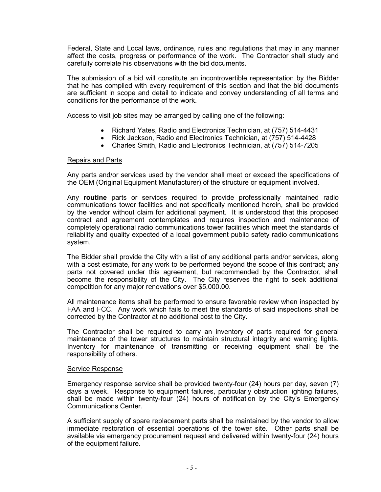Federal, State and Local laws, ordinance, rules and regulations that may in any manner affect the costs, progress or performance of the work. The Contractor shall study and carefully correlate his observations with the bid documents.

The submission of a bid will constitute an incontrovertible representation by the Bidder that he has complied with every requirement of this section and that the bid documents are sufficient in scope and detail to indicate and convey understanding of all terms and conditions for the performance of the work.

Access to visit job sites may be arranged by calling one of the following:

- Richard Yates, Radio and Electronics Technician, at (757) 514-4431
- Rick Jackson, Radio and Electronics Technician, at (757) 514-4428
- Charles Smith, Radio and Electronics Technician, at (757) 514-7205

#### Repairs and Parts

Any parts and/or services used by the vendor shall meet or exceed the specifications of the OEM (Original Equipment Manufacturer) of the structure or equipment involved.

Any **routine** parts or services required to provide professionally maintained radio communications tower facilities and not specifically mentioned herein, shall be provided by the vendor without claim for additional payment. It is understood that this proposed contract and agreement contemplates and requires inspection and maintenance of completely operational radio communications tower facilities which meet the standards of reliability and quality expected of a local government public safety radio communications system.

The Bidder shall provide the City with a list of any additional parts and/or services, along with a cost estimate, for any work to be performed beyond the scope of this contract; any parts not covered under this agreement, but recommended by the Contractor, shall become the responsibility of the City. The City reserves the right to seek additional competition for any major renovations over \$5,000.00.

All maintenance items shall be performed to ensure favorable review when inspected by FAA and FCC. Any work which fails to meet the standards of said inspections shall be corrected by the Contractor at no additional cost to the City.

The Contractor shall be required to carry an inventory of parts required for general maintenance of the tower structures to maintain structural integrity and warning lights. Inventory for maintenance of transmitting or receiving equipment shall be the responsibility of others.

#### Service Response

Emergency response service shall be provided twenty-four (24) hours per day, seven (7) days a week. Response to equipment failures, particularly obstruction lighting failures, shall be made within twenty-four (24) hours of notification by the City's Emergency Communications Center.

A sufficient supply of spare replacement parts shall be maintained by the vendor to allow immediate restoration of essential operations of the tower site. Other parts shall be available via emergency procurement request and delivered within twenty-four (24) hours of the equipment failure.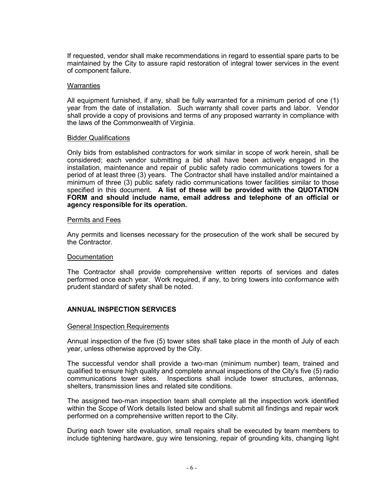If requested, vendor shall make recommendations in regard to essential spare parts to be maintained by the City to assure rapid restoration of integral tower services in the event of component failure.

#### **Warranties**

All equipment furnished, if any, shall be fully warranted for a minimum period of one (1) year from the date of installation. Such warranty shall cover parts and labor. Vendor shall provide a copy of provisions and terms of any proposed warranty in compliance with the laws of the Commonwealth of Virginia.

#### Bidder Qualifications

Only bids from established contractors for work similar in scope of work herein, shall be considered; each vendor submitting a bid shall have been actively engaged in the installation, maintenance and repair of public safety radio communications towers for a period of at least three (3) years. The Contractor shall have installed and/or maintained a minimum of three (3) public safety radio communications tower facilities similar to those specified in this document. **A list of these will be provided with the QUOTATION FORM and should include name, email address and telephone of an official or agency responsible for its operation.**

#### Permits and Fees

Any permits and licenses necessary for the prosecution of the work shall be secured by the Contractor.

#### Documentation

The Contractor shall provide comprehensive written reports of services and dates performed once each year. Work required, if any, to bring towers into conformance with prudent standard of safety shall be noted.

#### <span id="page-5-0"></span>**ANNUAL INSPECTION SERVICES**

#### General Inspection Requirements

Annual inspection of the five (5) tower sites shall take place in the month of July of each year, unless otherwise approved by the City.

The successful vendor shall provide a two-man (minimum number) team, trained and qualified to ensure high quality and complete annual inspections of the City's five (5) radio communications tower sites. Inspections shall include tower structures, antennas, shelters, transmission lines and related site conditions.

The assigned two-man inspection team shall complete all the inspection work identified within the Scope of Work details listed below and shall submit all findings and repair work performed on a comprehensive written report to the City.

During each tower site evaluation, small repairs shall be executed by team members to include tightening hardware, guy wire tensioning, repair of grounding kits, changing light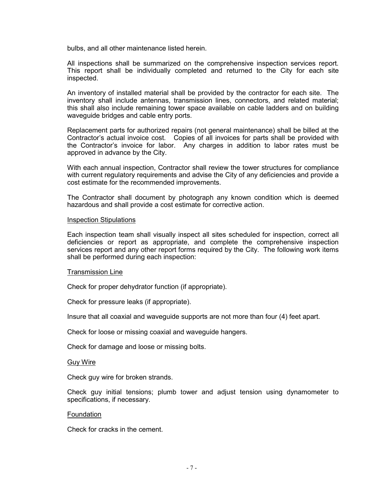bulbs, and all other maintenance listed herein.

All inspections shall be summarized on the comprehensive inspection services report. This report shall be individually completed and returned to the City for each site inspected.

An inventory of installed material shall be provided by the contractor for each site. The inventory shall include antennas, transmission lines, connectors, and related material; this shall also include remaining tower space available on cable ladders and on building waveguide bridges and cable entry ports.

Replacement parts for authorized repairs (not general maintenance) shall be billed at the Contractor's actual invoice cost. Copies of all invoices for parts shall be provided with the Contractor's invoice for labor. Any charges in addition to labor rates must be approved in advance by the City.

With each annual inspection, Contractor shall review the tower structures for compliance with current regulatory requirements and advise the City of any deficiencies and provide a cost estimate for the recommended improvements.

The Contractor shall document by photograph any known condition which is deemed hazardous and shall provide a cost estimate for corrective action.

#### Inspection Stipulations

Each inspection team shall visually inspect all sites scheduled for inspection, correct all deficiencies or report as appropriate, and complete the comprehensive inspection services report and any other report forms required by the City. The following work items shall be performed during each inspection:

#### Transmission Line

Check for proper dehydrator function (if appropriate).

Check for pressure leaks (if appropriate).

Insure that all coaxial and waveguide supports are not more than four (4) feet apart.

Check for loose or missing coaxial and waveguide hangers.

Check for damage and loose or missing bolts.

#### Guy Wire

Check guy wire for broken strands.

Check guy initial tensions; plumb tower and adjust tension using dynamometer to specifications, if necessary.

#### Foundation

Check for cracks in the cement.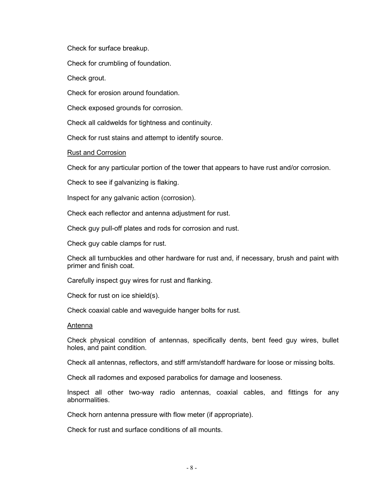Check for surface breakup.

Check for crumbling of foundation.

Check grout.

Check for erosion around foundation.

Check exposed grounds for corrosion.

Check all caldwelds for tightness and continuity.

Check for rust stains and attempt to identify source.

Rust and Corrosion

Check for any particular portion of the tower that appears to have rust and/or corrosion.

Check to see if galvanizing is flaking.

Inspect for any galvanic action (corrosion).

Check each reflector and antenna adjustment for rust.

Check guy pull-off plates and rods for corrosion and rust.

Check guy cable clamps for rust.

Check all turnbuckles and other hardware for rust and, if necessary, brush and paint with primer and finish coat.

Carefully inspect guy wires for rust and flanking.

Check for rust on ice shield(s).

Check coaxial cable and waveguide hanger bolts for rust.

#### Antenna

Check physical condition of antennas, specifically dents, bent feed guy wires, bullet holes, and paint condition.

Check all antennas, reflectors, and stiff arm/standoff hardware for loose or missing bolts.

Check all radomes and exposed parabolics for damage and looseness.

Inspect all other two-way radio antennas, coaxial cables, and fittings for any abnormalities.

Check horn antenna pressure with flow meter (if appropriate).

Check for rust and surface conditions of all mounts.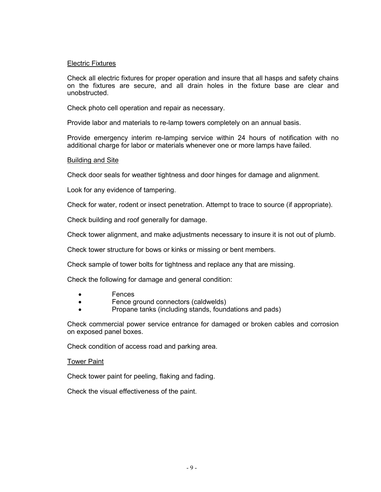#### Electric Fixtures

Check all electric fixtures for proper operation and insure that all hasps and safety chains on the fixtures are secure, and all drain holes in the fixture base are clear and unobstructed.

Check photo cell operation and repair as necessary.

Provide labor and materials to re-lamp towers completely on an annual basis.

Provide emergency interim re-lamping service within 24 hours of notification with no additional charge for labor or materials whenever one or more lamps have failed.

#### **Building and Site**

Check door seals for weather tightness and door hinges for damage and alignment.

Look for any evidence of tampering.

Check for water, rodent or insect penetration. Attempt to trace to source (if appropriate).

Check building and roof generally for damage.

Check tower alignment, and make adjustments necessary to insure it is not out of plumb.

Check tower structure for bows or kinks or missing or bent members.

Check sample of tower bolts for tightness and replace any that are missing.

Check the following for damage and general condition:

- Fences
- Fence ground connectors (caldwelds)
- Propane tanks (including stands, foundations and pads)

Check commercial power service entrance for damaged or broken cables and corrosion on exposed panel boxes.

Check condition of access road and parking area.

#### Tower Paint

Check tower paint for peeling, flaking and fading.

<span id="page-8-0"></span>Check the visual effectiveness of the paint.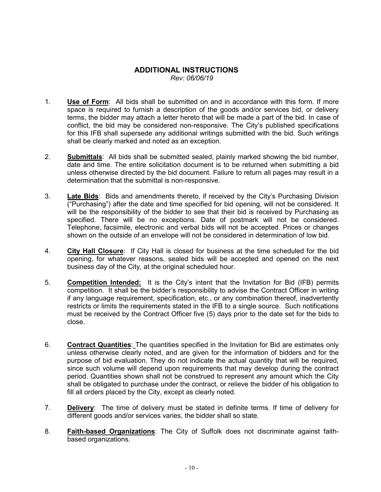## **ADDITIONAL INSTRUCTIONS**

*Rev: 06/06/19*

- 1. **Use of Form**: All bids shall be submitted on and in accordance with this form. If more space is required to furnish a description of the goods and/or services bid, or delivery terms, the bidder may attach a letter hereto that will be made a part of the bid. In case of conflict, the bid may be considered non-responsive. The City's published specifications for this IFB shall supersede any additional writings submitted with the bid. Such writings shall be clearly marked and noted as an exception.
- 2. **Submittals**: All bids shall be submitted sealed, plainly marked showing the bid number, date and time. The entire solicitation document is to be returned when submitting a bid unless otherwise directed by the bid document. Failure to return all pages may result in a determination that the submittal is non-responsive.
- 3. **Late Bids**: Bids and amendments thereto, if received by the City's Purchasing Division ("Purchasing") after the date and time specified for bid opening, will not be considered. It will be the responsibility of the bidder to see that their bid is received by Purchasing as specified. There will be no exceptions. Date of postmark will not be considered. Telephone, facsimile, electronic and verbal bids will not be accepted. Prices or changes shown on the outside of an envelope will not be considered in determination of low bid.
- 4. **City Hall Closure**: If City Hall is closed for business at the time scheduled for the bid opening, for whatever reasons, sealed bids will be accepted and opened on the next business day of the City, at the original scheduled hour.
- 5. **Competition Intended:** It is the City's intent that the Invitation for Bid (IFB) permits competition. It shall be the bidder's responsibility to advise the Contract Officer in writing if any language requirement, specification, etc., or any combination thereof, inadvertently restricts or limits the requirements stated in the IFB to a single source. Such notifications must be received by the Contract Officer five (5) days prior to the date set for the bids to close.
- 6. **Contract Quantities**: The quantities specified in the Invitation for Bid are estimates only unless otherwise clearly noted, and are given for the information of bidders and for the purpose of bid evaluation. They do not indicate the actual quantity that will be required, since such volume will depend upon requirements that may develop during the contract period. Quantities shown shall not be construed to represent any amount which the City shall be obligated to purchase under the contract, or relieve the bidder of his obligation to fill all orders placed by the City, except as clearly noted.
- 7. **Delivery**: The time of delivery must be stated in definite terms. If time of delivery for different goods and/or services varies, the bidder shall so state.
- 8. **Faith-based Organizations**: The City of Suffolk does not discriminate against faithbased organizations.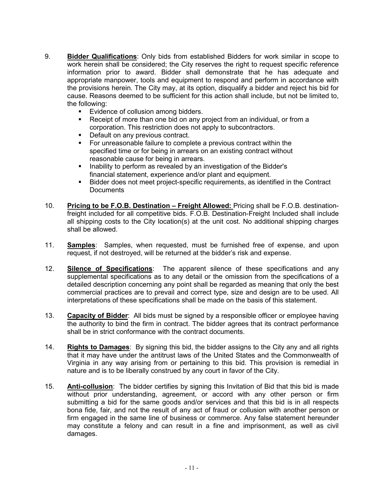- 9. **Bidder Qualifications**: Only bids from established Bidders for work similar in scope to work herein shall be considered; the City reserves the right to request specific reference information prior to award. Bidder shall demonstrate that he has adequate and appropriate manpower, tools and equipment to respond and perform in accordance with the provisions herein. The City may, at its option, disqualify a bidder and reject his bid for cause. Reasons deemed to be sufficient for this action shall include, but not be limited to, the following:
	- **Evidence of collusion among bidders.**
	- Receipt of more than one bid on any project from an individual, or from a corporation. This restriction does not apply to subcontractors.
	- **Default on any previous contract.**
	- For unreasonable failure to complete a previous contract within the specified time or for being in arrears on an existing contract without reasonable cause for being in arrears.
	- **Inability to perform as revealed by an investigation of the Bidder's** financial statement, experience and/or plant and equipment.
	- Bidder does not meet project-specific requirements, as identified in the Contract **Documents**
- 10. **Pricing to be F.O.B. Destination – Freight Allowed:** Pricing shall be F.O.B. destinationfreight included for all competitive bids. F.O.B. Destination-Freight Included shall include all shipping costs to the City location(s) at the unit cost. No additional shipping charges shall be allowed.
- 11. **Samples**: Samples, when requested, must be furnished free of expense, and upon request, if not destroyed, will be returned at the bidder's risk and expense.
- 12. **Silence of Specifications**: The apparent silence of these specifications and any supplemental specifications as to any detail or the omission from the specifications of a detailed description concerning any point shall be regarded as meaning that only the best commercial practices are to prevail and correct type, size and design are to be used. All interpretations of these specifications shall be made on the basis of this statement.
- 13. **Capacity of Bidder**: All bids must be signed by a responsible officer or employee having the authority to bind the firm in contract. The bidder agrees that its contract performance shall be in strict conformance with the contract documents.
- 14. **Rights to Damages**: By signing this bid, the bidder assigns to the City any and all rights that it may have under the antitrust laws of the United States and the Commonwealth of Virginia in any way arising from or pertaining to this bid. This provision is remedial in nature and is to be liberally construed by any court in favor of the City.
- 15. **Anti-collusion**: The bidder certifies by signing this Invitation of Bid that this bid is made without prior understanding, agreement, or accord with any other person or firm submitting a bid for the same goods and/or services and that this bid is in all respects bona fide, fair, and not the result of any act of fraud or collusion with another person or firm engaged in the same line of business or commerce. Any false statement hereunder may constitute a felony and can result in a fine and imprisonment, as well as civil damages.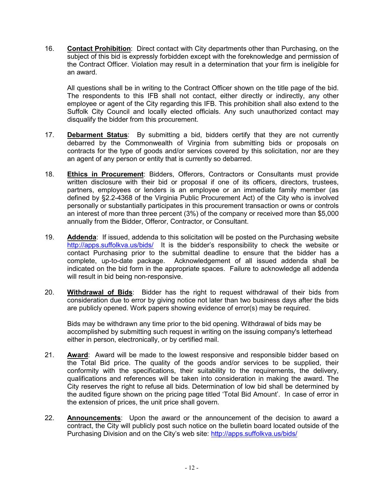16. **Contact Prohibition**: Direct contact with City departments other than Purchasing, on the subject of this bid is expressly forbidden except with the foreknowledge and permission of the Contract Officer. Violation may result in a determination that your firm is ineligible for an award.

All questions shall be in writing to the Contract Officer shown on the title page of the bid. The respondents to this IFB shall not contact, either directly or indirectly, any other employee or agent of the City regarding this IFB. This prohibition shall also extend to the Suffolk City Council and locally elected officials. Any such unauthorized contact may disqualify the bidder from this procurement.

- 17. **Debarment Status**: By submitting a bid, bidders certify that they are not currently debarred by the Commonwealth of Virginia from submitting bids or proposals on contracts for the type of goods and/or services covered by this solicitation, nor are they an agent of any person or entity that is currently so debarred.
- 18. **Ethics in Procurement**: Bidders, Offerors, Contractors or Consultants must provide written disclosure with their bid or proposal if one of its officers, directors, trustees, partners, employees or lenders is an employee or an immediate family member (as defined by §2.2-4368 of the Virginia Public Procurement Act) of the City who is involved personally or substantially participates in this procurement transaction or owns or controls an interest of more than three percent (3%) of the company or received more than \$5,000 annually from the Bidder, Offeror, Contractor, or Consultant.
- 19. **Addenda**: If issued, addenda to this solicitation will be posted on the Purchasing website <http://apps.suffolkva.us/bids/>It is the bidder's responsibility to check the website or contact Purchasing prior to the submittal deadline to ensure that the bidder has a complete, up-to-date package. Acknowledgement of all issued addenda shall be indicated on the bid form in the appropriate spaces. Failure to acknowledge all addenda will result in bid being non-responsive.
- 20. **Withdrawal of Bids**: Bidder has the right to request withdrawal of their bids from consideration due to error by giving notice not later than two business days after the bids are publicly opened. Work papers showing evidence of error(s) may be required.

Bids may be withdrawn any time prior to the bid opening. Withdrawal of bids may be accomplished by submitting such request in writing on the issuing company's letterhead either in person, electronically, or by certified mail.

- 21. **Award**: Award will be made to the lowest responsive and responsible bidder based on the Total Bid price. The quality of the goods and/or services to be supplied, their conformity with the specifications, their suitability to the requirements, the delivery, qualifications and references will be taken into consideration in making the award. The City reserves the right to refuse all bids. Determination of low bid shall be determined by the audited figure shown on the pricing page titled 'Total Bid Amount'. In case of error in the extension of prices, the unit price shall govern.
- 22. **Announcements**: Upon the award or the announcement of the decision to award a contract, the City will publicly post such notice on the bulletin board located outside of the Purchasing Division and on the City's web site: http://apps.suffolkva.us/bids/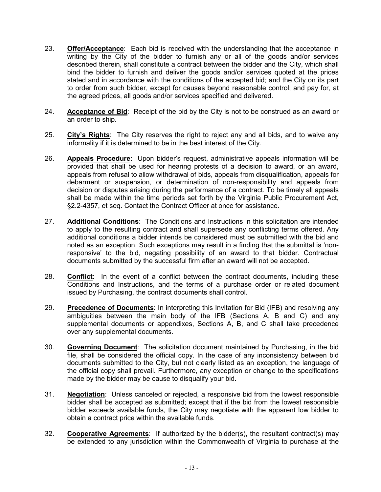- 23. **Offer/Acceptance**: Each bid is received with the understanding that the acceptance in writing by the City of the bidder to furnish any or all of the goods and/or services described therein, shall constitute a contract between the bidder and the City, which shall bind the bidder to furnish and deliver the goods and/or services quoted at the prices stated and in accordance with the conditions of the accepted bid; and the City on its part to order from such bidder, except for causes beyond reasonable control; and pay for, at the agreed prices, all goods and/or services specified and delivered.
- 24. **Acceptance of Bid**: Receipt of the bid by the City is not to be construed as an award or an order to ship.
- 25. **City's Rights**: The City reserves the right to reject any and all bids, and to waive any informality if it is determined to be in the best interest of the City.
- 26. **Appeals Procedure**: Upon bidder's request, administrative appeals information will be provided that shall be used for hearing protests of a decision to award, or an award, appeals from refusal to allow withdrawal of bids, appeals from disqualification, appeals for debarment or suspension, or determination of non-responsibility and appeals from decision or disputes arising during the performance of a contract. To be timely all appeals shall be made within the time periods set forth by the Virginia Public Procurement Act, §2.2-4357, et seq. Contact the Contract Officer at once for assistance.
- 27. **Additional Conditions**: The Conditions and Instructions in this solicitation are intended to apply to the resulting contract and shall supersede any conflicting terms offered. Any additional conditions a bidder intends be considered must be submitted with the bid and noted as an exception. Such exceptions may result in a finding that the submittal is 'nonresponsive' to the bid, negating possibility of an award to that bidder. Contractual documents submitted by the successful firm after an award will not be accepted.
- 28. **Conflict**: In the event of a conflict between the contract documents, including these Conditions and Instructions, and the terms of a purchase order or related document issued by Purchasing, the contract documents shall control.
- 29. **Precedence of Documents**: In interpreting this Invitation for Bid (IFB) and resolving any ambiguities between the main body of the IFB (Sections A, B and C) and any supplemental documents or appendixes, Sections A, B, and C shall take precedence over any supplemental documents.
- 30. **Governing Document**: The solicitation document maintained by Purchasing, in the bid file, shall be considered the official copy. In the case of any inconsistency between bid documents submitted to the City, but not clearly listed as an exception, the language of the official copy shall prevail. Furthermore, any exception or change to the specifications made by the bidder may be cause to disqualify your bid.
- 31. **Negotiation**: Unless canceled or rejected, a responsive bid from the lowest responsible bidder shall be accepted as submitted; except that if the bid from the lowest responsible bidder exceeds available funds, the City may negotiate with the apparent low bidder to obtain a contract price within the available funds.
- 32. **Cooperative Agreements**: If authorized by the bidder(s), the resultant contract(s) may be extended to any jurisdiction within the Commonwealth of Virginia to purchase at the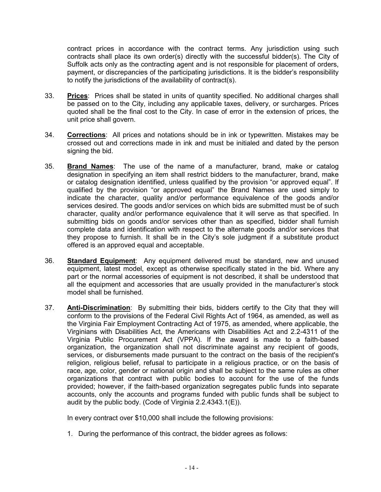contract prices in accordance with the contract terms. Any jurisdiction using such contracts shall place its own order(s) directly with the successful bidder(s). The City of Suffolk acts only as the contracting agent and is not responsible for placement of orders, payment, or discrepancies of the participating jurisdictions. It is the bidder's responsibility to notify the jurisdictions of the availability of contract(s).

- 33. **Prices**: Prices shall be stated in units of quantity specified. No additional charges shall be passed on to the City, including any applicable taxes, delivery, or surcharges. Prices quoted shall be the final cost to the City. In case of error in the extension of prices, the unit price shall govern.
- 34. **Corrections**: All prices and notations should be in ink or typewritten. Mistakes may be crossed out and corrections made in ink and must be initialed and dated by the person signing the bid.
- 35. **Brand Names**: The use of the name of a manufacturer, brand, make or catalog designation in specifying an item shall restrict bidders to the manufacturer, brand, make or catalog designation identified, unless qualified by the provision "or approved equal". If qualified by the provision "or approved equal" the Brand Names are used simply to indicate the character, quality and/or performance equivalence of the goods and/or services desired. The goods and/or services on which bids are submitted must be of such character, quality and/or performance equivalence that it will serve as that specified. In submitting bids on goods and/or services other than as specified, bidder shall furnish complete data and identification with respect to the alternate goods and/or services that they propose to furnish. It shall be in the City's sole judgment if a substitute product offered is an approved equal and acceptable.
- 36. **Standard Equipment**: Any equipment delivered must be standard, new and unused equipment, latest model, except as otherwise specifically stated in the bid. Where any part or the normal accessories of equipment is not described, it shall be understood that all the equipment and accessories that are usually provided in the manufacturer's stock model shall be furnished.
- 37. **Anti-Discrimination**: By submitting their bids, bidders certify to the City that they will conform to the provisions of the Federal Civil Rights Act of 1964, as amended, as well as the Virginia Fair Employment Contracting Act of 1975, as amended, where applicable, the Virginians with Disabilities Act, the Americans with Disabilities Act and 2.2-4311 of the Virginia Public Procurement Act (VPPA). If the award is made to a faith-based organization, the organization shall not discriminate against any recipient of goods, services, or disbursements made pursuant to the contract on the basis of the recipient's religion, religious belief, refusal to participate in a religious practice, or on the basis of race, age, color, gender or national origin and shall be subject to the same rules as other organizations that contract with public bodies to account for the use of the funds provided; however, if the faith-based organization segregates public funds into separate accounts, only the accounts and programs funded with public funds shall be subject to audit by the public body. (Code of Virginia 2.2.4343.1(E)).

In every contract over \$10,000 shall include the following provisions:

1. During the performance of this contract, the bidder agrees as follows: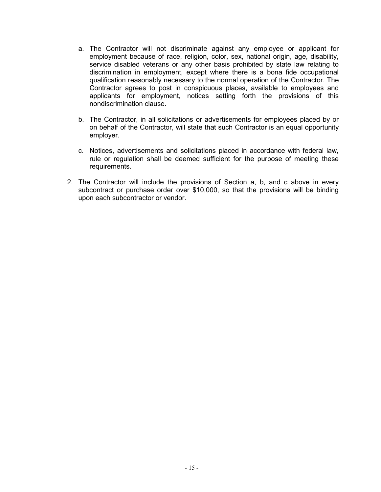- a. The Contractor will not discriminate against any employee or applicant for employment because of race, religion, color, sex, national origin, age, disability, service disabled veterans or any other basis prohibited by state law relating to discrimination in employment, except where there is a bona fide occupational qualification reasonably necessary to the normal operation of the Contractor. The Contractor agrees to post in conspicuous places, available to employees and applicants for employment, notices setting forth the provisions of this nondiscrimination clause.
- b. The Contractor, in all solicitations or advertisements for employees placed by or on behalf of the Contractor, will state that such Contractor is an equal opportunity employer.
- c. Notices, advertisements and solicitations placed in accordance with federal law, rule or regulation shall be deemed sufficient for the purpose of meeting these requirements.
- 2. The Contractor will include the provisions of Section a, b, and c above in every subcontract or purchase order over \$10,000, so that the provisions will be binding upon each subcontractor or vendor.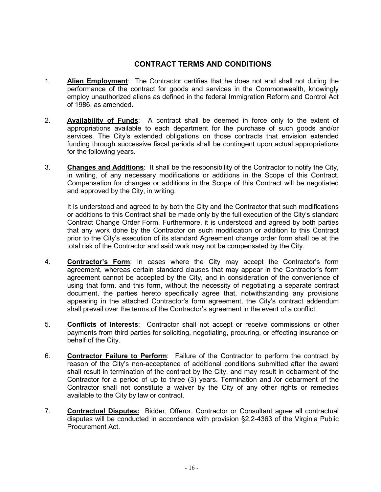#### **CONTRACT TERMS AND CONDITIONS**

- <span id="page-15-0"></span>1. **Alien Employment**: The Contractor certifies that he does not and shall not during the performance of the contract for goods and services in the Commonwealth, knowingly employ unauthorized aliens as defined in the federal Immigration Reform and Control Act of 1986, as amended.
- 2. **Availability of Funds**: A contract shall be deemed in force only to the extent of appropriations available to each department for the purchase of such goods and/or services. The City's extended obligations on those contracts that envision extended funding through successive fiscal periods shall be contingent upon actual appropriations for the following years.
- 3. **Changes and Additions**: It shall be the responsibility of the Contractor to notify the City, in writing, of any necessary modifications or additions in the Scope of this Contract. Compensation for changes or additions in the Scope of this Contract will be negotiated and approved by the City, in writing.

It is understood and agreed to by both the City and the Contractor that such modifications or additions to this Contract shall be made only by the full execution of the City's standard Contract Change Order Form. Furthermore, it is understood and agreed by both parties that any work done by the Contractor on such modification or addition to this Contract prior to the City's execution of its standard Agreement change order form shall be at the total risk of the Contractor and said work may not be compensated by the City.

- 4. **Contractor's Form**: In cases where the City may accept the Contractor's form agreement, whereas certain standard clauses that may appear in the Contractor's form agreement cannot be accepted by the City, and in consideration of the convenience of using that form, and this form, without the necessity of negotiating a separate contract document, the parties hereto specifically agree that, notwithstanding any provisions appearing in the attached Contractor's form agreement, the City's contract addendum shall prevail over the terms of the Contractor's agreement in the event of a conflict.
- 5. **Conflicts of Interests**: Contractor shall not accept or receive commissions or other payments from third parties for soliciting, negotiating, procuring, or effecting insurance on behalf of the City.
- 6. **Contractor Failure to Perform**: Failure of the Contractor to perform the contract by reason of the City's non-acceptance of additional conditions submitted after the award shall result in termination of the contract by the City, and may result in debarment of the Contractor for a period of up to three (3) years. Termination and /or debarment of the Contractor shall not constitute a waiver by the City of any other rights or remedies available to the City by law or contract.
- 7. **Contractual Disputes:** Bidder, Offeror, Contractor or Consultant agree all contractual disputes will be conducted in accordance with provision §2.2-4363 of the Virginia Public Procurement Act.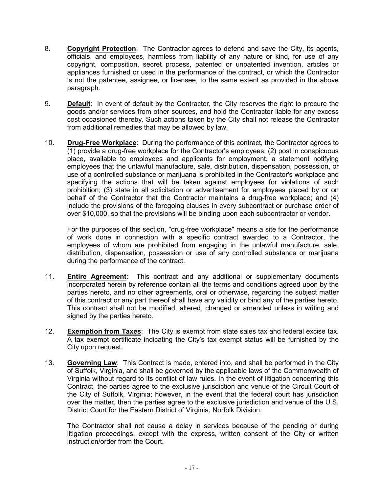- 8. **Copyright Protection**: The Contractor agrees to defend and save the City, its agents, officials, and employees, harmless from liability of any nature or kind, for use of any copyright, composition, secret process, patented or unpatented invention, articles or appliances furnished or used in the performance of the contract, or which the Contractor is not the patentee, assignee, or licensee, to the same extent as provided in the above paragraph.
- 9. **Default**: In event of default by the Contractor, the City reserves the right to procure the goods and/or services from other sources, and hold the Contractor liable for any excess cost occasioned thereby. Such actions taken by the City shall not release the Contractor from additional remedies that may be allowed by law.
- 10. **Drug-Free Workplace**: During the performance of this contract, the Contractor agrees to (1) provide a drug-free workplace for the Contractor's employees; (2) post in conspicuous place, available to employees and applicants for employment, a statement notifying employees that the unlawful manufacture, sale, distribution, dispensation, possession, or use of a controlled substance or marijuana is prohibited in the Contractor's workplace and specifying the actions that will be taken against employees for violations of such prohibition; (3) state in all solicitation or advertisement for employees placed by or on behalf of the Contractor that the Contractor maintains a drug-free workplace; and (4) include the provisions of the foregoing clauses in every subcontract or purchase order of over \$10,000, so that the provisions will be binding upon each subcontractor or vendor.

For the purposes of this section, "drug-free workplace" means a site for the performance of work done in connection with a specific contract awarded to a Contractor, the employees of whom are prohibited from engaging in the unlawful manufacture, sale, distribution, dispensation, possession or use of any controlled substance or marijuana during the performance of the contract.

- 11. **Entire Agreement**: This contract and any additional or supplementary documents incorporated herein by reference contain all the terms and conditions agreed upon by the parties hereto, and no other agreements, oral or otherwise, regarding the subject matter of this contract or any part thereof shall have any validity or bind any of the parties hereto. This contract shall not be modified, altered, changed or amended unless in writing and signed by the parties hereto.
- 12. **Exemption from Taxes**: The City is exempt from state sales tax and federal excise tax. A tax exempt certificate indicating the City's tax exempt status will be furnished by the City upon request.
- 13. **Governing Law**: This Contract is made, entered into, and shall be performed in the City of Suffolk, Virginia, and shall be governed by the applicable laws of the Commonwealth of Virginia without regard to its conflict of law rules. In the event of litigation concerning this Contract, the parties agree to the exclusive jurisdiction and venue of the Circuit Court of the City of Suffolk, Virginia; however, in the event that the federal court has jurisdiction over the matter, then the parties agree to the exclusive jurisdiction and venue of the U.S. District Court for the Eastern District of Virginia, Norfolk Division.

The Contractor shall not cause a delay in services because of the pending or during litigation proceedings, except with the express, written consent of the City or written instruction/order from the Court.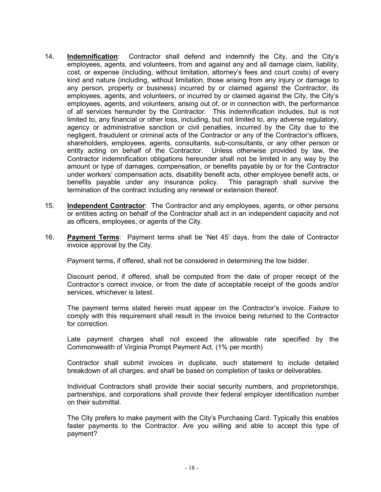- 14. **Indemnification**: Contractor shall defend and indemnify the City, and the City's employees, agents, and volunteers, from and against any and all damage claim, liability, cost, or expense (including, without limitation, attorney's fees and court costs) of every kind and nature (including, without limitation, those arising from any injury or damage to any person, property or business) incurred by or claimed against the Contractor, its employees, agents, and volunteers, or incurred by or claimed against the City, the City's employees, agents, and volunteers, arising out of, or in connection with, the performance of all services hereunder by the Contractor. This indemnification includes, but is not limited to, any financial or other loss, including, but not limited to, any adverse regulatory, agency or administrative sanction or civil penalties, incurred by the City due to the negligent, fraudulent or criminal acts of the Contractor or any of the Contractor's officers, shareholders, employees, agents, consultants, sub-consultants, or any other person or entity acting on behalf of the Contractor. Unless otherwise provided by law, the Contractor indemnification obligations hereunder shall not be limited in any way by the amount or type of damages, compensation, or benefits payable by or for the Contractor under workers' compensation acts, disability benefit acts, other employee benefit acts, or benefits payable under any insurance policy. This paragraph shall survive the termination of the contract including any renewal or extension thereof.
- 15. **Independent Contractor**: The Contractor and any employees, agents, or other persons or entities acting on behalf of the Contractor shall act in an independent capacity and not as officers, employees, or agents of the City.
- 16. **Payment Terms**: Payment terms shall be 'Net 45' days, from the date of Contractor invoice approval by the City.

Payment terms, if offered, shall not be considered in determining the low bidder.

Discount period, if offered, shall be computed from the date of proper receipt of the Contractor's correct invoice, or from the date of acceptable receipt of the goods and/or services, whichever is latest.

The payment terms stated herein must appear on the Contractor's invoice. Failure to comply with this requirement shall result in the invoice being returned to the Contractor for correction.

Late payment charges shall not exceed the allowable rate specified by the Commonwealth of Virginia Prompt Payment Act. (1% per month)

Contractor shall submit invoices in duplicate, such statement to include detailed breakdown of all charges, and shall be based on completion of tasks or deliverables.

Individual Contractors shall provide their social security numbers, and proprietorships, partnerships, and corporations shall provide their federal employer identification number on their submittal.

The City prefers to make payment with the City's Purchasing Card. Typically this enables faster payments to the Contractor. Are you willing and able to accept this type of payment?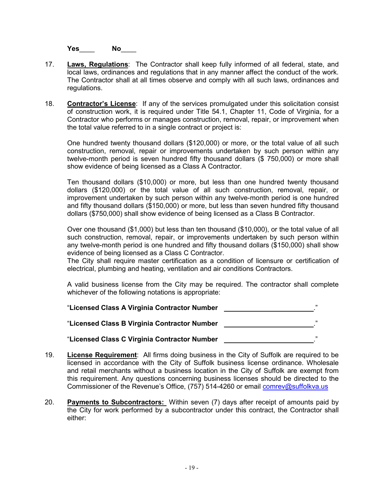**Yes**\_\_\_\_ **No**\_\_\_\_

- 17. **Laws, Regulations**: The Contractor shall keep fully informed of all federal, state, and local laws, ordinances and regulations that in any manner affect the conduct of the work. The Contractor shall at all times observe and comply with all such laws, ordinances and regulations.
- 18. **Contractor's License**: If any of the services promulgated under this solicitation consist of construction work, it is required under Title 54.1, Chapter 11, Code of Virginia, for a Contractor who performs or manages construction, removal, repair, or improvement when the total value referred to in a single contract or project is:

One hundred twenty thousand dollars (\$120,000) or more, or the total value of all such construction, removal, repair or improvements undertaken by such person within any twelve-month period is seven hundred fifty thousand dollars (\$ 750,000) or more shall show evidence of being licensed as a Class A Contractor.

Ten thousand dollars (\$10,000) or more, but less than one hundred twenty thousand dollars (\$120,000) or the total value of all such construction, removal, repair, or improvement undertaken by such person within any twelve-month period is one hundred and fifty thousand dollars (\$150,000) or more, but less than seven hundred fifty thousand dollars (\$750,000) shall show evidence of being licensed as a Class B Contractor.

Over one thousand (\$1,000) but less than ten thousand (\$10,000), or the total value of all such construction, removal, repair, or improvements undertaken by such person within any twelve-month period is one hundred and fifty thousand dollars (\$150,000) shall show evidence of being licensed as a Class C Contractor.

The City shall require master certification as a condition of licensure or certification of electrical, plumbing and heating, ventilation and air conditions Contractors.

A valid business license from the City may be required. The contractor shall complete whichever of the following notations is appropriate:

"**Licensed Class A Virginia Contractor Number** ." "**Licensed Class B Virginia Contractor Number** ."

#### "**Licensed Class C Virginia Contractor Number** ."

- 19. **License Requirement**: All firms doing business in the City of Suffolk are required to be licensed in accordance with the City of Suffolk business license ordinance. Wholesale and retail merchants without a business location in the City of Suffolk are exempt from this requirement. Any questions concerning business licenses should be directed to the Commissioner of the Revenue's Office, (757) 514-4260 or email [comrev@suffolkva.us](mailto:comrev@suffolkva.us)
- 20. **Payments to Subcontractors:** Within seven (7) days after receipt of amounts paid by the City for work performed by a subcontractor under this contract, the Contractor shall either: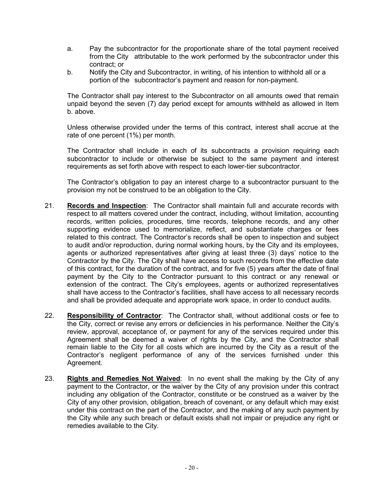- a. Pay the subcontractor for the proportionate share of the total payment received from the City attributable to the work performed by the subcontractor under this contract; or
- b. Notify the City and Subcontractor, in writing, of his intention to withhold all or a portion of the subcontractor's payment and reason for non-payment.

The Contractor shall pay interest to the Subcontractor on all amounts owed that remain unpaid beyond the seven (7) day period except for amounts withheld as allowed in Item b. above.

Unless otherwise provided under the terms of this contract, interest shall accrue at the rate of one percent (1%) per month.

The Contractor shall include in each of its subcontracts a provision requiring each subcontractor to include or otherwise be subject to the same payment and interest requirements as set forth above with respect to each lower-tier subcontractor.

The Contractor's obligation to pay an interest charge to a subcontractor pursuant to the provision my not be construed to be an obligation to the City.

- 21. **Records and Inspection**: The Contractor shall maintain full and accurate records with respect to all matters covered under the contract, including, without limitation, accounting records, written policies, procedures, time records, telephone records, and any other supporting evidence used to memorialize, reflect, and substantiate charges or fees related to this contract. The Contractor's records shall be open to inspection and subject to audit and/or reproduction, during normal working hours, by the City and its employees, agents or authorized representatives after giving at least three (3) days' notice to the Contractor by the City. The City shall have access to such records from the effective date of this contract, for the duration of the contract, and for five (5) years after the date of final payment by the City to the Contractor pursuant to this contract or any renewal or extension of the contract. The City's employees, agents or authorized representatives shall have access to the Contractor's facilities, shall have access to all necessary records and shall be provided adequate and appropriate work space, in order to conduct audits.
- 22. **Responsibility of Contractor**: The Contractor shall, without additional costs or fee to the City, correct or revise any errors or deficiencies in his performance. Neither the City's review, approval, acceptance of, or payment for any of the services required under this Agreement shall be deemed a waiver of rights by the City, and the Contractor shall remain liable to the City for all costs which are incurred by the City as a result of the Contractor's negligent performance of any of the services furnished under this Agreement.
- 23. **Rights and Remedies Not Waived**: In no event shall the making by the City of any payment to the Contractor, or the waiver by the City of any provision under this contract including any obligation of the Contractor, constitute or be construed as a waiver by the City of any other provision, obligation, breach of covenant, or any default which may exist under this contract on the part of the Contractor, and the making of any such payment by the City while any such breach or default exists shall not impair or prejudice any right or remedies available to the City.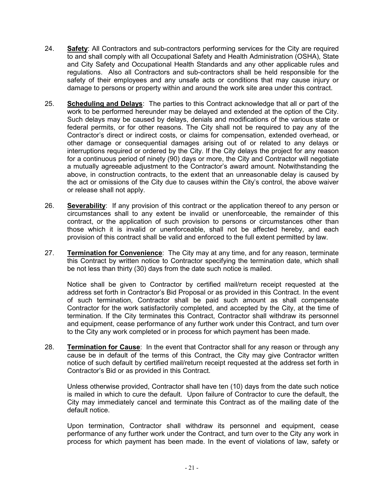- 24. **Safety**: All Contractors and sub-contractors performing services for the City are required to and shall comply with all Occupational Safety and Health Administration (OSHA), State and City Safety and Occupational Health Standards and any other applicable rules and regulations. Also all Contractors and sub-contractors shall be held responsible for the safety of their employees and any unsafe acts or conditions that may cause injury or damage to persons or property within and around the work site area under this contract.
- 25. **Scheduling and Delays**: The parties to this Contract acknowledge that all or part of the work to be performed hereunder may be delayed and extended at the option of the City. Such delays may be caused by delays, denials and modifications of the various state or federal permits, or for other reasons. The City shall not be required to pay any of the Contractor's direct or indirect costs, or claims for compensation, extended overhead, or other damage or consequential damages arising out of or related to any delays or interruptions required or ordered by the City. If the City delays the project for any reason for a continuous period of ninety (90) days or more, the City and Contractor will negotiate a mutually agreeable adjustment to the Contractor's award amount. Notwithstanding the above, in construction contracts, to the extent that an unreasonable delay is caused by the act or omissions of the City due to causes within the City's control, the above waiver or release shall not apply.
- 26. **Severability**: If any provision of this contract or the application thereof to any person or circumstances shall to any extent be invalid or unenforceable, the remainder of this contract, or the application of such provision to persons or circumstances other than those which it is invalid or unenforceable, shall not be affected hereby, and each provision of this contract shall be valid and enforced to the full extent permitted by law.
- 27. **Termination for Convenience**: The City may at any time, and for any reason, terminate this Contract by written notice to Contractor specifying the termination date, which shall be not less than thirty (30) days from the date such notice is mailed.

Notice shall be given to Contractor by certified mail/return receipt requested at the address set forth in Contractor's Bid Proposal or as provided in this Contract. In the event of such termination, Contractor shall be paid such amount as shall compensate Contractor for the work satisfactorily completed, and accepted by the City, at the time of termination. If the City terminates this Contract, Contractor shall withdraw its personnel and equipment, cease performance of any further work under this Contract, and turn over to the City any work completed or in process for which payment has been made.

28. **Termination for Cause**: In the event that Contractor shall for any reason or through any cause be in default of the terms of this Contract, the City may give Contractor written notice of such default by certified mail/return receipt requested at the address set forth in Contractor's Bid or as provided in this Contract.

Unless otherwise provided, Contractor shall have ten (10) days from the date such notice is mailed in which to cure the default. Upon failure of Contractor to cure the default, the City may immediately cancel and terminate this Contract as of the mailing date of the default notice.

Upon termination, Contractor shall withdraw its personnel and equipment, cease performance of any further work under the Contract, and turn over to the City any work in process for which payment has been made. In the event of violations of law, safety or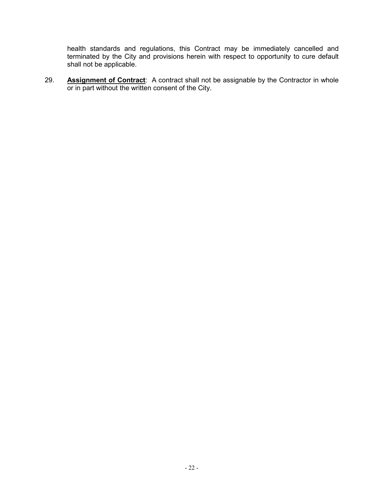health standards and regulations, this Contract may be immediately cancelled and terminated by the City and provisions herein with respect to opportunity to cure default shall not be applicable.

29. **Assignment of Contract**: A contract shall not be assignable by the Contractor in whole or in part without the written consent of the City.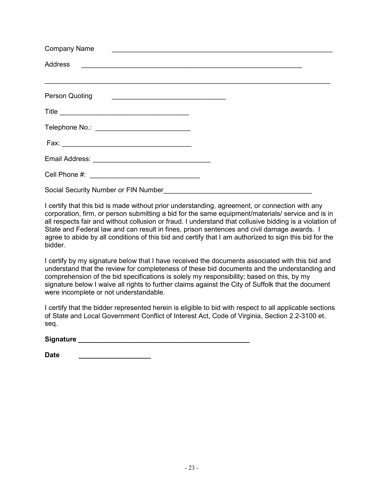| <b>Company Name</b><br><u> 1989 - Johann Stein, markin film yn y breninn y breninn y breninn y breninn y breninn y breninn y breninn y</u>                                                                                  |  |
|-----------------------------------------------------------------------------------------------------------------------------------------------------------------------------------------------------------------------------|--|
|                                                                                                                                                                                                                             |  |
| ,我们也不能在这里的时候,我们也不能在这里,我们也不能不能在这里,我们也不能不能不能不能不能不能。""我们,我们也不能不能不能不能不能不能不能不能不能不能不能不<br>Person Quoting<br><u> 1989 - Johann Harry Harry Harry Harry Harry Harry Harry Harry Harry Harry Harry Harry Harry Harry Harry Harry</u> |  |
|                                                                                                                                                                                                                             |  |
| Telephone No.: _____________________________                                                                                                                                                                                |  |
|                                                                                                                                                                                                                             |  |
|                                                                                                                                                                                                                             |  |
|                                                                                                                                                                                                                             |  |
| Social Security Number or FIN Number Social Security Number                                                                                                                                                                 |  |

I certify that this bid is made without prior understanding, agreement, or connection with any corporation, firm, or person submitting a bid for the same equipment/materials/ service and is in all respects fair and without collusion or fraud. I understand that collusive bidding is a violation of State and Federal law and can result in fines, prison sentences and civil damage awards. I agree to abide by all conditions of this bid and certify that I am authorized to sign this bid for the bidder.

I certify by my signature below that I have received the documents associated with this bid and understand that the review for completeness of these bid documents and the understanding and comprehension of the bid specifications is solely my responsibility; based on this, by my signature below I waive all rights to further claims against the City of Suffolk that the document were incomplete or not understandable.

I certify that the bidder represented herein is eligible to bid with respect to all applicable sections of State and Local Government Conflict of Interest Act, Code of Virginia, Section 2.2-3100 et. seq.

Signature **Signature Signature** *Contract Contract Contract Contract Contract Contract Contract Contract Contract Contract Contract Contract Contract Contract Contract Contract Contract Contract Contract Contract Contra* 

Date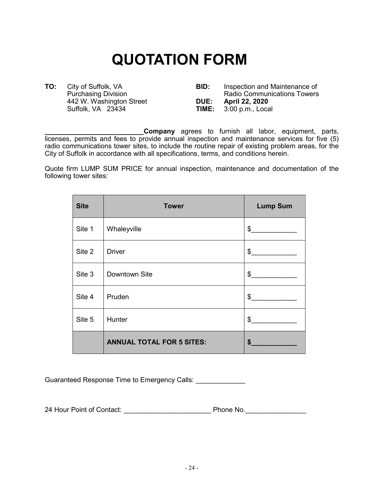# **QUOTATION FORM**

Suffolk, VA 23434

<span id="page-23-0"></span>**TO:** City of Suffolk, VA **BID:** Inspection and Maintenance of Purchasing Division **BID:** Radio Communications Towers Radio Communications Towers<br>DUE: April 22, 2020 442 W. Washington Street **DUE: April 22, 2020**

**\_\_\_\_\_\_\_\_\_\_\_\_\_\_\_\_\_\_\_\_\_\_\_\_\_\_Company** agrees to furnish all labor, equipment, parts, licenses, permits and fees to provide annual inspection and maintenance services for five (5) radio communications tower sites, to include the routine repair of existing problem areas, for the City of Suffolk in accordance with all specifications, terms, and conditions herein.

Quote firm LUMP SUM PRICE for annual inspection, maintenance and documentation of the following tower sites:

| <b>Site</b> | <b>Tower</b>                     | <b>Lump Sum</b> |
|-------------|----------------------------------|-----------------|
| Site 1      | Whaleyville                      | $\frac{1}{2}$   |
| Site 2      | <b>Driver</b>                    | $\frac{2}{3}$   |
| Site 3      | Downtown Site                    | \$              |
| Site 4      | Pruden                           | $\frac{1}{2}$   |
| Site 5      | Hunter                           | \$              |
|             | <b>ANNUAL TOTAL FOR 5 SITES:</b> | \$              |

Guaranteed Response Time to Emergency Calls:

24 Hour Point of Contact: **We are all the Phone No.** Phone No.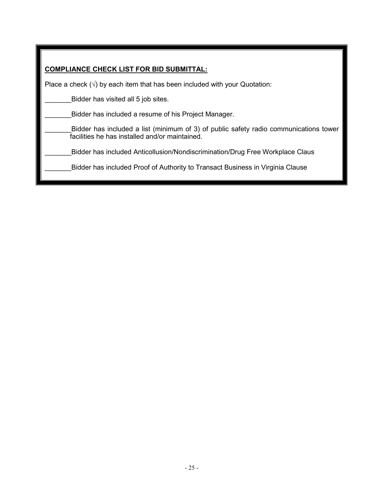| <b>COMPLIANCE CHECK LIST FOR BID SUBMITTAL:</b> |  |
|-------------------------------------------------|--|
|                                                 |  |

Place a check  $(\sqrt{ } )$  by each item that has been included with your Quotation:

Bidder has visited all 5 job sites.

Bidder has included a resume of his Project Manager.

\_\_\_\_\_\_\_Bidder has included a list (minimum of 3) of public safety radio communications tower facilities he has installed and/or maintained.

Bidder has included Anticollusion/Nondiscrimination/Drug Free Workplace Claus

Bidder has included Proof of Authority to Transact Business in Virginia Clause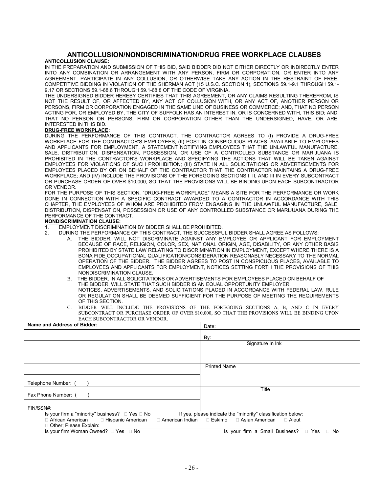#### <span id="page-25-0"></span>**ANTICOLLUSION/NONDISCRIMINATION/DRUG FREE WORKPLACE CLAUSES ANTICOLLUSION CLAUSE:**

IN THE PREPARATION AND SUBMISSION OF THIS BID, SAID BIDDER DID NOT EITHER DIRECTLY OR INDIRECTLY ENTER INTO ANY COMBINATION OR ARRANGEMENT WITH ANY PERSON, FIRM OR CORPORATION, OR ENTER INTO ANY AGREEMENT, PARTICIPATE IN ANY COLLUSION, OR OTHERWISE TAKE ANY ACTION IN THE RESTRAINT OF FREE, COMPETITIVE BIDDING IN VIOLATION OF THE SHERMAN ACT (15 U.S.C. SECTION 1), SECTIONS 59.1-9.1 THROUGH 59.1- 9.17 OR SECTIONS 59.1-68.6 THROUGH 59.1-68.8 OF THE CODE OF VIRGINIA.

THE UNDERSIGNED BIDDER HEREBY CERTIFIES THAT THIS AGREEMENT, OR ANY CLAIMS RESULTING THEREFROM, IS NOT THE RESULT OF, OR AFFECTED BY, ANY ACT OF COLLUSION WITH, OR ANY ACT OF, ANOTHER PERSON OR PERSONS, FIRM OR CORPORATION ENGAGED IN THE SAME LINE OF BUSINESS OR COMMERCE; AND, THAT NO PERSON ACTING FOR, OR EMPLOYED BY, THE CITY OF SUFFOLK HAS AN INTEREST IN, OR IS CONCERNED WITH, THIS BID; AND, THAT NO PERSON OR PERSONS, FIRM OR CORPORATION OTHER THAN THE UNDERSIGNED, HAVE, OR ARE, INTERESTED IN THIS BID.

#### **DRUG-FREE WORKPLACE:**

DURING THE PERFORMANCE OF THIS CONTRACT, THE CONTRACTOR AGREES TO (I) PROVIDE A DRUG-FREE WORKPLACE FOR THE CONTRACTOR'S EMPLOYEES; (II) POST IN CONSPICUOUS PLACES, AVAILABLE TO EMPLOYEES AND APPLICANTS FOR EMPLOYMENT, A STATEMENT NOTIFYING EMPLOYEES THAT THE UNLAWFUL MANUFACTURE, SALE, DISTRIBUTION, DISPENSATION, POSSESSION, OR USE OF A CONTROLLED SUBSTANCE OR MARIJUANA IS PROHIBITED IN THE CONTRACTOR'S WORKPLACE AND SPECIFYING THE ACTIONS THAT WILL BE TAKEN AGAINST EMPLOYEES FOR VIOLATIONS OF SUCH PROHIBITION; (III) STATE IN ALL SOLICITATIONS OR ADVERTISEMENTS FOR EMPLOYEES PLACED BY OR ON BEHALF OF THE CONTRACTOR THAT THE CONTRACTOR MAINTAINS A DRUG-FREE WORKPLACE; AND (IV) INCLUDE THE PROVISIONS OF THE FOREGOING SECTIONS I, II, AND III IN EVERY SUBCONTRACT OR PURCHASE ORDER OF OVER \$10,000, SO THAT THE PROVISIONS WILL BE BINDING UPON EACH SUBCONTRACTOR OR VENDOR.

FOR THE PURPOSE OF THIS SECTION, "DRUG-FREE WORKPLACE" MEANS A SITE FOR THE PERFORMANCE OR WORK DONE IN CONNECTION WITH A SPECIFIC CONTRACT AWARDED TO A CONTRACTOR IN ACCORDANCE WITH THIS CHAPTER, THE EMPLOYEES OF WHOM ARE PROHIBITED FROM ENGAGING IN THE UNLAWFUL MANUFACTURE, SALE, DISTRIBUTION, DISPENSATION, POSSESSION OR USE OF ANY CONTROLLED SUBSTANCE OR MARIJUANA DURING THE PERFORMANCE OF THE CONTRACT.

#### **NONDISCRIMINATION CLAUSE:**

- 1. EMPLOYMENT DISCRIMINATION BY BIDDER SHALL BE PROHIBITED.
	- 2. DURING THE PERFORMANCE OF THIS CONTRACT, THE SUCCESSFUL BIDDER SHALL AGREE AS FOLLOWS:
		- A. THE BIDDER, WILL NOT DISCRIMINATE AGAINST ANY EMPLOYEE OR APPLICANT FOR EMPLOYMENT BECAUSE OF RACE, RELIGION, COLOR, SEX, NATIONAL ORIGIN, AGE, DISABILITY, OR ANY OTHER BASIS PROHIBITED BY STATE LAW RELATING TO DISCRIMINATION IN EMPLOYMENT, EXCEPT WHERE THERE IS A BONA FIDE OCCUPATIONAL QUALIFICATION/CONSIDERATION REASONABLY NECESSARY TO THE NORMAL OPERATION OF THE BIDDER. THE BIDDER AGREES TO POST IN CONSPICUOUS PLACES, AVAILABLE TO EMPLOYEES AND APPLICANTS FOR EMPLOYMENT, NOTICES SETTING FORTH THE PROVISIONS OF THIS NONDISCRIMINATION CLAUSE.
		- B. THE BIDDER, IN ALL SOLICITATIONS OR ADVERTISEMENTS FOR EMPLOYEES PLACED ON BEHALF OF THE BIDDER, WILL STATE THAT SUCH BIDDER IS AN EQUAL OPPORTUNITY EMPLOYER. NOTICES, ADVERTISEMENTS, AND SOLICITATIONS PLACED IN ACCORDANCE WITH FEDERAL LAW, RULE OR REGULATION SHALL BE DEEMED SUFFICIENT FOR THE PURPOSE OF MEETING THE REQUIREMENTS OF THIS SECTION.
		- C. BIDDER WILL INCLUDE THE PROVISIONS OF THE FOREGOING SECTIONS A, B, AND C IN EVERY SUBCONTRACT OR PURCHASE ORDER OF OVER \$10,000, SO THAT THE PROVISIONS WILL BE BINDING UPON EACH SUBCONTRACTOR OR VENDOR.

| Date:                                                           |
|-----------------------------------------------------------------|
| By:                                                             |
| Signature In Ink                                                |
|                                                                 |
| <b>Printed Name</b>                                             |
|                                                                 |
|                                                                 |
| Title                                                           |
|                                                                 |
| If yes, please indicate the "minority" classification below:    |
| □ American Indian  □ Eskimo  □ Asian American<br>$\sqcap$ Aleut |
| Is your firm a Small Business? □ Yes<br>No<br>$\Box$            |
|                                                                 |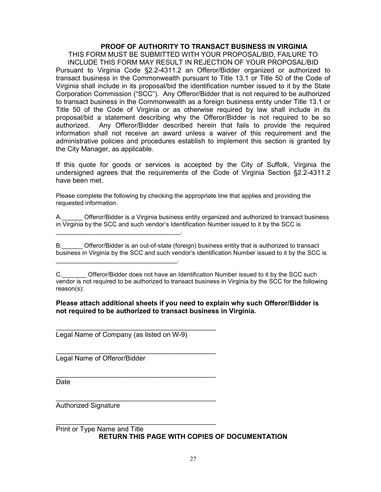#### **PROOF OF AUTHORITY TO TRANSACT BUSINESS IN VIRGINIA**

<span id="page-26-0"></span>THIS FORM MUST BE SUBMITTED WITH YOUR PROPOSAL/BID, FAILURE TO INCLUDE THIS FORM MAY RESULT IN REJECTION OF YOUR PROPOSAL/BID Pursuant to Virginia Code §2.2-4311.2 an Offeror/Bidder organized or authorized to transact business in the Commonwealth pursuant to Title 13.1 or Title 50 of the Code of Virginia shall include in its proposal/bid the identification number issued to it by the State Corporation Commission ("SCC"). Any Offeror/Bidder that is not required to be authorized to transact business in the Commonwealth as a foreign business entity under Title 13.1 or Title 50 of the Code of Virginia or as otherwise required by law shall include in its proposal/bid a statement describing why the Offeror/Bidder is not required to be so authorized. Any Offeror/Bidder described herein that fails to provide the required information shall not receive an award unless a waiver of this requirement and the administrative policies and procedures establish to implement this section is granted by the City Manager, as applicable.

If this quote for goods or services is accepted by the City of Suffolk, Virginia the undersigned agrees that the requirements of the Code of Virginia Section §2.2-4311.2 have been met.

Please complete the following by checking the appropriate line that applies and providing the requested information.

A.\_\_\_\_\_\_ Offeror/Bidder is a Virginia business entity organized and authorized to transact business in Virginia by the SCC and such vendor's Identification Number issued to it by the SCC is

B. Offeror/Bidder is an out-of-state (foreign) business entity that is authorized to transact business in Virginia by the SCC and such vendor's identification Number issued to it by the SCC is

#### **Please attach additional sheets if you need to explain why such Offeror/Bidder is not required to be authorized to transact business in Virginia.**

Legal Name of Company (as listed on W-9)

\_\_\_\_\_\_\_\_\_\_\_\_\_\_\_\_\_\_\_\_\_\_\_\_\_\_\_\_\_\_\_\_\_\_\_\_\_\_\_\_\_\_

\_\_\_\_\_\_\_\_\_\_\_\_\_\_\_\_\_\_\_\_\_\_\_\_\_\_\_\_\_\_\_\_\_\_\_\_\_\_\_\_\_\_

\_\_\_\_\_\_\_\_\_\_\_\_\_\_\_\_\_\_\_\_\_\_\_\_\_\_\_\_\_\_\_\_\_\_\_\_\_\_\_\_\_\_

\_\_\_\_\_\_\_\_\_\_\_\_\_\_\_\_\_\_\_\_\_\_\_\_\_\_\_\_\_\_\_\_\_\_\_\_\_\_\_\_\_\_

\_\_\_\_\_\_\_\_\_\_\_\_\_\_\_\_\_\_\_\_\_\_\_\_\_\_\_\_\_\_\_\_\_\_\_\_.

\_\_\_\_\_\_\_\_\_\_\_\_\_\_\_\_\_\_\_\_\_\_\_\_\_\_\_\_\_\_\_\_\_\_\_.

Legal Name of Offeror/Bidder

Date

\_\_\_\_\_\_\_\_\_\_\_\_\_\_\_\_\_\_\_\_\_\_\_\_\_\_\_\_\_\_\_\_\_\_\_\_\_\_\_\_\_\_ Authorized Signature

Print or Type Name and Title **RETURN THIS PAGE WITH COPIES OF DOCUMENTATION**

C. **C.** Offeror/Bidder does not have an Identification Number issued to it by the SCC such vendor is not required to be authorized to transact business in Virginia by the SCC for the following reason(s):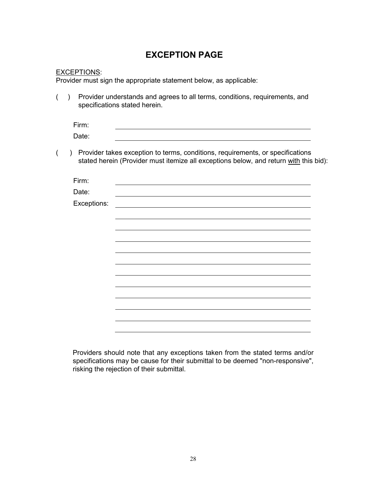## **EXCEPTION PAGE**

#### <span id="page-27-0"></span>EXCEPTIONS:

Provider must sign the appropriate statement below, as applicable:

( ) Provider understands and agrees to all terms, conditions, requirements, and specifications stated herein.

| Firm: |  |  |
|-------|--|--|
| Date: |  |  |

( ) Provider takes exception to terms, conditions, requirements, or specifications stated herein (Provider must itemize all exceptions below, and return with this bid):

| Firm:       |                                                                                                                        |
|-------------|------------------------------------------------------------------------------------------------------------------------|
| Date:       |                                                                                                                        |
| Exceptions: | <u> 1989 - Andrea Aonaichte, ann an t-Èireann an t-Èireann an t-Èireann an t-Èireann an t-Èireann an t-Èireann an </u> |
|             |                                                                                                                        |
|             |                                                                                                                        |
|             |                                                                                                                        |
|             |                                                                                                                        |
|             |                                                                                                                        |
|             |                                                                                                                        |
|             |                                                                                                                        |
|             |                                                                                                                        |
|             |                                                                                                                        |
|             |                                                                                                                        |
|             |                                                                                                                        |
|             |                                                                                                                        |
|             |                                                                                                                        |

Providers should note that any exceptions taken from the stated terms and/or specifications may be cause for their submittal to be deemed "non-responsive", risking the rejection of their submittal.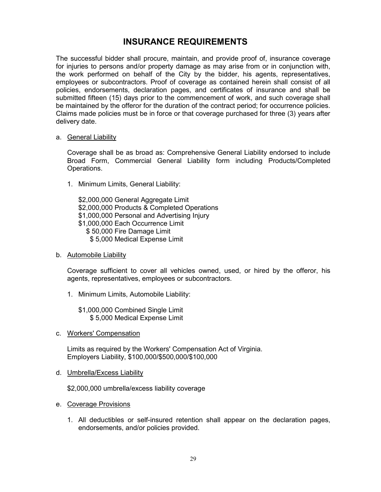## **INSURANCE REQUIREMENTS**

<span id="page-28-0"></span>The successful bidder shall procure, maintain, and provide proof of, insurance coverage for injuries to persons and/or property damage as may arise from or in conjunction with, the work performed on behalf of the City by the bidder, his agents, representatives, employees or subcontractors. Proof of coverage as contained herein shall consist of all policies, endorsements, declaration pages, and certificates of insurance and shall be submitted fifteen (15) days prior to the commencement of work, and such coverage shall be maintained by the offeror for the duration of the contract period; for occurrence policies. Claims made policies must be in force or that coverage purchased for three (3) years after delivery date.

#### a. General Liability

Coverage shall be as broad as: Comprehensive General Liability endorsed to include Broad Form, Commercial General Liability form including Products/Completed Operations.

1. Minimum Limits, General Liability:

\$2,000,000 General Aggregate Limit \$2,000,000 Products & Completed Operations \$1,000,000 Personal and Advertising Injury \$1,000,000 Each Occurrence Limit \$ 50,000 Fire Damage Limit \$ 5,000 Medical Expense Limit

b. Automobile Liability

Coverage sufficient to cover all vehicles owned, used, or hired by the offeror, his agents, representatives, employees or subcontractors.

1. Minimum Limits, Automobile Liability:

\$1,000,000 Combined Single Limit \$ 5,000 Medical Expense Limit

c. Workers' Compensation

Limits as required by the Workers' Compensation Act of Virginia. Employers Liability, \$100,000/\$500,000/\$100,000

d. Umbrella/Excess Liability

\$2,000,000 umbrella/excess liability coverage

- e. Coverage Provisions
	- 1. All deductibles or self-insured retention shall appear on the declaration pages, endorsements, and/or policies provided.